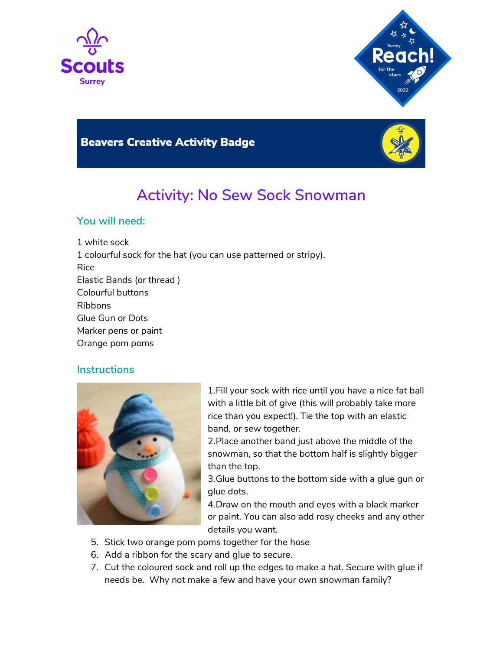



## **Beavers Creative Activity Badge**



# Activity: No Sew Sock Snowman

#### You will need:

1 white sock 1 colourful sock for the hat (you can use patterned or stripy). Rice Elastic Bands (or thread ) Colourful buttons Ribbons Glue Gun or Dots Marker pens or paint Orange pom poms

#### **Instructions**



1.Fill your sock with rice until you have a nice fat ball with a little bit of give (this will probably take more rice than you expect!). Tie the top with an elastic band, or sew together.

2.Place another band just above the middle of the snowman, so that the bottom half is slightly bigger than the top.

3.Glue buttons to the bottom side with a glue gun or glue dots.

4.Draw on the mouth and eyes with a black marker or paint. You can also add rosy cheeks and any other details you want.

- 5. Stick two orange pom poms together for the hose
- 6. Add a ribbon for the scary and glue to secure.
- 7. Cut the coloured sock and roll up the edges to make a hat. Secure with glue if needs be. Why not make a few and have your own snowman family?